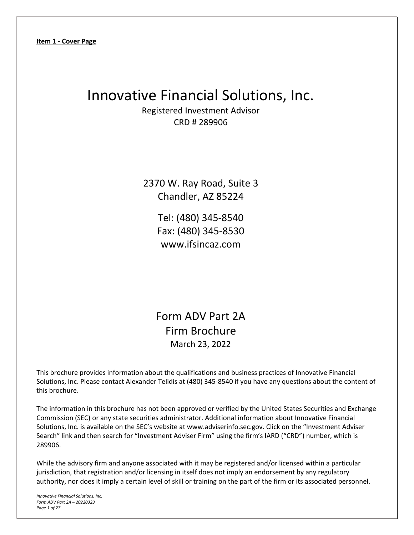# Innovative Financial Solutions, Inc.

Registered Investment Advisor CRD # 289906

2370 W. Ray Road, Suite 3 Chandler, AZ 85224

> Tel: (480) 345‐8540 Fax: (480) 345‐8530 www.ifsincaz.com

Form ADV Part 2A Firm Brochure March 23, 2022

This brochure provides information about the qualifications and business practices of Innovative Financial Solutions, Inc. Please contact Alexander Telidis at (480) 345‐8540 if you have any questions about the content of this brochure.

The information in this brochure has not been approved or verified by the United States Securities and Exchange Commission (SEC) or any state securities administrator. Additional information about Innovative Financial Solutions, Inc. is available on the SEC's website at www.adviserinfo.sec.gov. Click on the "Investment Adviser Search" link and then search for "Investment Adviser Firm" using the firm's IARD ("CRD") number, which is 289906.

While the advisory firm and anyone associated with it may be registered and/or licensed within a particular jurisdiction, that registration and/or licensing in itself does not imply an endorsement by any regulatory authority, nor does it imply a certain level of skill or training on the part of the firm or its associated personnel.

*Innovative Financial Solutions, Inc. Form ADV Part 2A – 20220323 Page 1 of 27*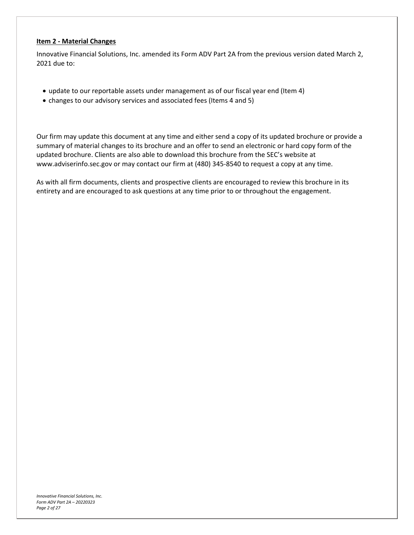#### **Item 2 ‐ Material Changes**

Innovative Financial Solutions, Inc. amended its Form ADV Part 2A from the previous version dated March 2, 2021 due to:

- update to our reportable assets under management as of our fiscal year end (Item 4)
- changes to our advisory services and associated fees (Items 4 and 5)

Our firm may update this document at any time and either send a copy of its updated brochure or provide a summary of material changes to its brochure and an offer to send an electronic or hard copy form of the updated brochure. Clients are also able to download this brochure from the SEC's website at www.adviserinfo.sec.gov or may contact our firm at (480) 345‐8540 to request a copy at any time.

As with all firm documents, clients and prospective clients are encouraged to review this brochure in its entirety and are encouraged to ask questions at any time prior to or throughout the engagement.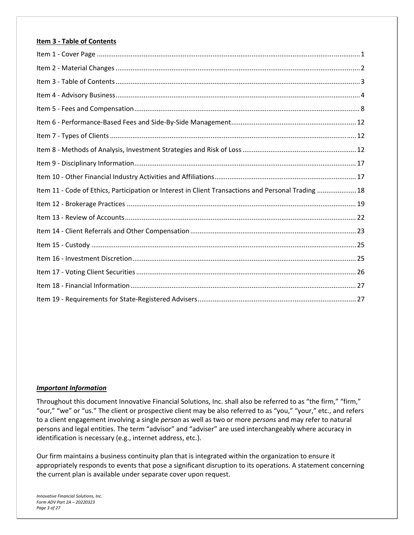#### **Item 3 ‐ Table of Contents**

| Item 11 - Code of Ethics, Participation or Interest in Client Transactions and Personal Trading  18 |  |
|-----------------------------------------------------------------------------------------------------|--|
|                                                                                                     |  |
|                                                                                                     |  |
|                                                                                                     |  |
|                                                                                                     |  |
|                                                                                                     |  |
|                                                                                                     |  |
|                                                                                                     |  |
|                                                                                                     |  |

#### *Important Information*

Throughout this document Innovative Financial Solutions, Inc. shall also be referred to as "the firm," "firm," "our," "we" or "us." The client or prospective client may be also referred to as "you," "your," etc., and refers to a client engagement involving a single *person* as well as two or more *persons* and may refer to natural persons and legal entities. The term "advisor" and "adviser" are used interchangeably where accuracy in identification is necessary (e.g., internet address, etc.).

Our firm maintains a business continuity plan that is integrated within the organization to ensure it appropriately responds to events that pose a significant disruption to its operations. A statement concerning the current plan is available under separate cover upon request.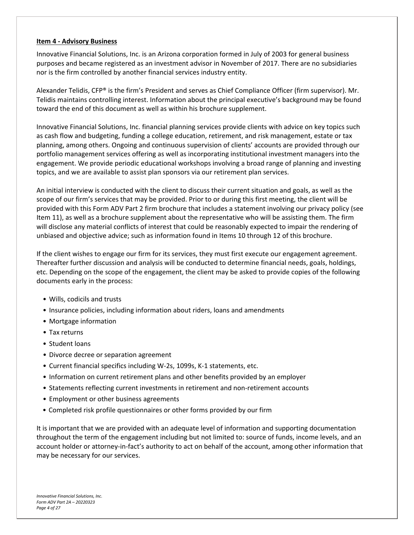#### **Item 4 ‐ Advisory Business**

Innovative Financial Solutions, Inc. is an Arizona corporation formed in July of 2003 for general business purposes and became registered as an investment advisor in November of 2017. There are no subsidiaries nor is the firm controlled by another financial services industry entity.

Alexander Telidis, CFP® is the firm's President and serves as Chief Compliance Officer (firm supervisor). Mr. Telidis maintains controlling interest. Information about the principal executive's background may be found toward the end of this document as well as within his brochure supplement.

Innovative Financial Solutions, Inc. financial planning services provide clients with advice on key topics such as cash flow and budgeting, funding a college education, retirement, and risk management, estate or tax planning, among others. Ongoing and continuous supervision of clients' accounts are provided through our portfolio management services offering as well as incorporating institutional investment managers into the engagement. We provide periodic educational workshops involving a broad range of planning and investing topics, and we are available to assist plan sponsors via our retirement plan services.

An initial interview is conducted with the client to discuss their current situation and goals, as well as the scope of our firm's services that may be provided. Prior to or during this first meeting, the client will be provided with this Form ADV Part 2 firm brochure that includes a statement involving our privacy policy (see Item 11), as well as a brochure supplement about the representative who will be assisting them. The firm will disclose any material conflicts of interest that could be reasonably expected to impair the rendering of unbiased and objective advice; such as information found in Items 10 through 12 of this brochure.

If the client wishes to engage our firm for its services, they must first execute our engagement agreement. Thereafter further discussion and analysis will be conducted to determine financial needs, goals, holdings, etc. Depending on the scope of the engagement, the client may be asked to provide copies of the following documents early in the process:

- Wills, codicils and trusts
- Insurance policies, including information about riders, loans and amendments
- Mortgage information
- Tax returns
- Student loans
- Divorce decree or separation agreement
- Current financial specifics including W‐2s, 1099s, K‐1 statements, etc.
- Information on current retirement plans and other benefits provided by an employer
- Statements reflecting current investments in retirement and non-retirement accounts
- Employment or other business agreements
- Completed risk profile questionnaires or other forms provided by our firm

It is important that we are provided with an adequate level of information and supporting documentation throughout the term of the engagement including but not limited to: source of funds, income levels, and an account holder or attorney‐in‐fact's authority to act on behalf of the account, among other information that may be necessary for our services.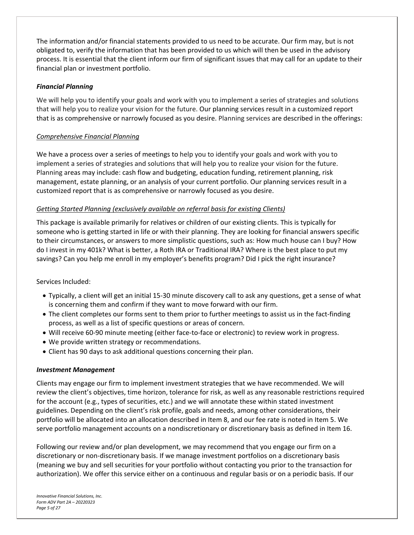The information and/or financial statements provided to us need to be accurate. Our firm may, but is not obligated to, verify the information that has been provided to us which will then be used in the advisory process. It is essential that the client inform our firm of significant issues that may call for an update to their financial plan or investment portfolio.

#### *Financial Planning*

We will help you to identify your goals and work with you to implement a series of strategies and solutions that will help you to realize your vision for the future. Our planning services result in a customized report that is as comprehensive or narrowly focused as you desire. Planning services are described in the offerings:

# *Comprehensive Financial Planning*

We have a process over a series of meetings to help you to identify your goals and work with you to implement a series of strategies and solutions that will help you to realize your vision for the future. Planning areas may include: cash flow and budgeting, education funding, retirement planning, risk management, estate planning, or an analysis of your current portfolio. Our planning services result in a customized report that is as comprehensive or narrowly focused as you desire.

# *Getting Started Planning (exclusively available on referral basis for existing Clients)*

This package is available primarily for relatives or children of our existing clients. This is typically for someone who is getting started in life or with their planning. They are looking for financial answers specific to their circumstances, or answers to more simplistic questions, such as: How much house can I buy? How do I invest in my 401k? What is better, a Roth IRA or Traditional IRA? Where is the best place to put my savings? Can you help me enroll in my employer's benefits program? Did I pick the right insurance?

#### Services Included:

- Typically, a client will get an initial 15‐30 minute discovery call to ask any questions, get a sense of what is concerning them and confirm if they want to move forward with our firm.
- The client completes our forms sent to them prior to further meetings to assist us in the fact‐finding process, as well as a list of specific questions or areas of concern.
- Will receive 60‐90 minute meeting (either face‐to‐face or electronic) to review work in progress.
- We provide written strategy or recommendations.
- Client has 90 days to ask additional questions concerning their plan.

#### *Investment Management*

Clients may engage our firm to implement investment strategies that we have recommended. We will review the client's objectives, time horizon, tolerance for risk, as well as any reasonable restrictions required for the account (e.g., types of securities, etc.) and we will annotate these within stated investment guidelines. Depending on the client's risk profile, goals and needs, among other considerations, their portfolio will be allocated into an allocation described in Item 8, and our fee rate is noted in Item 5. We serve portfolio management accounts on a nondiscretionary or discretionary basis as defined in Item 16.

Following our review and/or plan development, we may recommend that you engage our firm on a discretionary or non‐discretionary basis. If we manage investment portfolios on a discretionary basis (meaning we buy and sell securities for your portfolio without contacting you prior to the transaction for authorization). We offer this service either on a continuous and regular basis or on a periodic basis. If our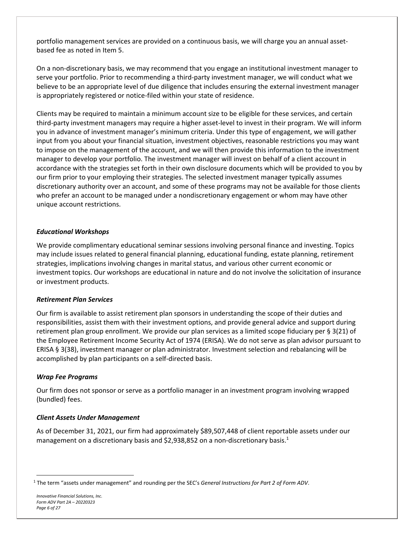portfolio management services are provided on a continuous basis, we will charge you an annual assetbased fee as noted in Item 5.

On a non‐discretionary basis, we may recommend that you engage an institutional investment manager to serve your portfolio. Prior to recommending a third-party investment manager, we will conduct what we believe to be an appropriate level of due diligence that includes ensuring the external investment manager is appropriately registered or notice‐filed within your state of residence.

Clients may be required to maintain a minimum account size to be eligible for these services, and certain third‐party investment managers may require a higher asset‐level to invest in their program. We will inform you in advance of investment manager's minimum criteria. Under this type of engagement, we will gather input from you about your financial situation, investment objectives, reasonable restrictions you may want to impose on the management of the account, and we will then provide this information to the investment manager to develop your portfolio. The investment manager will invest on behalf of a client account in accordance with the strategies set forth in their own disclosure documents which will be provided to you by our firm prior to your employing their strategies. The selected investment manager typically assumes discretionary authority over an account, and some of these programs may not be available for those clients who prefer an account to be managed under a nondiscretionary engagement or whom may have other unique account restrictions.

# *Educational Workshops*

We provide complimentary educational seminar sessions involving personal finance and investing. Topics may include issues related to general financial planning, educational funding, estate planning, retirement strategies, implications involving changes in marital status, and various other current economic or investment topics. Our workshops are educational in nature and do not involve the solicitation of insurance or investment products.

#### *Retirement Plan Services*

Our firm is available to assist retirement plan sponsors in understanding the scope of their duties and responsibilities, assist them with their investment options, and provide general advice and support during retirement plan group enrollment. We provide our plan services as a limited scope fiduciary per § 3(21) of the Employee Retirement Income Security Act of 1974 (ERISA). We do not serve as plan advisor pursuant to ERISA § 3(38), investment manager or plan administrator. Investment selection and rebalancing will be accomplished by plan participants on a self‐directed basis.

#### *Wrap Fee Programs*

Our firm does not sponsor or serve as a portfolio manager in an investment program involving wrapped (bundled) fees.

#### *Client Assets Under Management*

As of December 31, 2021, our firm had approximately \$89,507,448 of client reportable assets under our management on a discretionary basis and \$2,938,852 on a non-discretionary basis.<sup>1</sup>

<sup>1</sup> The term "assets under management" and rounding per the SEC's *General Instructions for Part 2 of Form ADV*.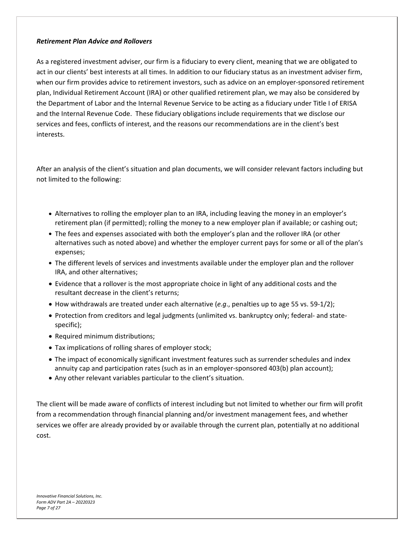#### *Retirement Plan Advice and Rollovers*

As a registered investment adviser, our firm is a fiduciary to every client, meaning that we are obligated to act in our clients' best interests at all times. In addition to our fiduciary status as an investment adviser firm, when our firm provides advice to retirement investors, such as advice on an employer‐sponsored retirement plan, Individual Retirement Account (IRA) or other qualified retirement plan, we may also be considered by the Department of Labor and the Internal Revenue Service to be acting as a fiduciary under Title I of ERISA and the Internal Revenue Code. These fiduciary obligations include requirements that we disclose our services and fees, conflicts of interest, and the reasons our recommendations are in the client's best interests.

After an analysis of the client's situation and plan documents, we will consider relevant factors including but not limited to the following:

- Alternatives to rolling the employer plan to an IRA, including leaving the money in an employer's retirement plan (if permitted); rolling the money to a new employer plan if available; or cashing out;
- The fees and expenses associated with both the employer's plan and the rollover IRA (or other alternatives such as noted above) and whether the employer current pays for some or all of the plan's expenses;
- The different levels of services and investments available under the employer plan and the rollover IRA, and other alternatives;
- Evidence that a rollover is the most appropriate choice in light of any additional costs and the resultant decrease in the client's returns;
- How withdrawals are treated under each alternative (*e.g*., penalties up to age 55 vs. 59‐1/2);
- Protection from creditors and legal judgments (unlimited vs. bankruptcy only; federal- and statespecific);
- Required minimum distributions;
- Tax implications of rolling shares of employer stock;
- The impact of economically significant investment features such as surrender schedules and index annuity cap and participation rates (such as in an employer‐sponsored 403(b) plan account);
- Any other relevant variables particular to the client's situation.

The client will be made aware of conflicts of interest including but not limited to whether our firm will profit from a recommendation through financial planning and/or investment management fees, and whether services we offer are already provided by or available through the current plan, potentially at no additional cost.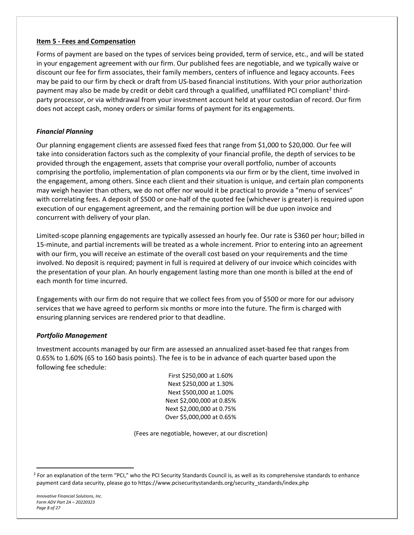#### **Item 5 ‐ Fees and Compensation**

Forms of payment are based on the types of services being provided, term of service, etc., and will be stated in your engagement agreement with our firm. Our published fees are negotiable, and we typically waive or discount our fee for firm associates, their family members, centers of influence and legacy accounts. Fees may be paid to our firm by check or draft from US‐based financial institutions. With your prior authorization payment may also be made by credit or debit card through a qualified, unaffiliated PCI compliant<sup>2</sup> thirdparty processor, or via withdrawal from your investment account held at your custodian of record. Our firm does not accept cash, money orders or similar forms of payment for its engagements.

#### *Financial Planning*

Our planning engagement clients are assessed fixed fees that range from \$1,000 to \$20,000. Our fee will take into consideration factors such as the complexity of your financial profile, the depth of services to be provided through the engagement, assets that comprise your overall portfolio, number of accounts comprising the portfolio, implementation of plan components via our firm or by the client, time involved in the engagement, among others. Since each client and their situation is unique, and certain plan components may weigh heavier than others, we do not offer nor would it be practical to provide a "menu of services" with correlating fees. A deposit of \$500 or one‐half of the quoted fee (whichever is greater) is required upon execution of our engagement agreement, and the remaining portion will be due upon invoice and concurrent with delivery of your plan.

Limited‐scope planning engagements are typically assessed an hourly fee. Our rate is \$360 per hour; billed in 15-minute, and partial increments will be treated as a whole increment. Prior to entering into an agreement with our firm, you will receive an estimate of the overall cost based on your requirements and the time involved. No deposit is required; payment in full is required at delivery of our invoice which coincides with the presentation of your plan. An hourly engagement lasting more than one month is billed at the end of each month for time incurred.

Engagements with our firm do not require that we collect fees from you of \$500 or more for our advisory services that we have agreed to perform six months or more into the future. The firm is charged with ensuring planning services are rendered prior to that deadline.

#### *Portfolio Management*

Investment accounts managed by our firm are assessed an annualized asset‐based fee that ranges from 0.65% to 1.60% (65 to 160 basis points). The fee is to be in advance of each quarter based upon the following fee schedule:

> First \$250,000 at 1.60% Next \$250,000 at 1.30% Next \$500,000 at 1.00% Next \$2,000,000 at 0.85% Next \$2,000,000 at 0.75% Over \$5,000,000 at 0.65%

(Fees are negotiable, however, at our discretion)

<sup>&</sup>lt;sup>2</sup> For an explanation of the term "PCI," who the PCI Security Standards Council is, as well as its comprehensive standards to enhance payment card data security, please go to https://www.pcisecuritystandards.org/security\_standards/index.php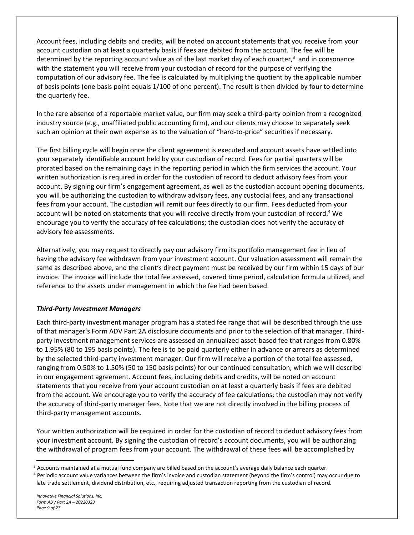Account fees, including debits and credits, will be noted on account statements that you receive from your account custodian on at least a quarterly basis if fees are debited from the account. The fee will be determined by the reporting account value as of the last market day of each quarter,<sup>3</sup> and in consonance with the statement you will receive from your custodian of record for the purpose of verifying the computation of our advisory fee. The fee is calculated by multiplying the quotient by the applicable number of basis points (one basis point equals 1/100 of one percent). The result is then divided by four to determine the quarterly fee.

In the rare absence of a reportable market value, our firm may seek a third‐party opinion from a recognized industry source (e.g., unaffiliated public accounting firm), and our clients may choose to separately seek such an opinion at their own expense as to the valuation of "hard-to-price" securities if necessary.

The first billing cycle will begin once the client agreement is executed and account assets have settled into your separately identifiable account held by your custodian of record. Fees for partial quarters will be prorated based on the remaining days in the reporting period in which the firm services the account. Your written authorization is required in order for the custodian of record to deduct advisory fees from your account. By signing our firm's engagement agreement, as well as the custodian account opening documents, you will be authorizing the custodian to withdraw advisory fees, any custodial fees, and any transactional fees from your account. The custodian will remit our fees directly to our firm. Fees deducted from your account will be noted on statements that you will receive directly from your custodian of record.<sup>4</sup> We encourage you to verify the accuracy of fee calculations; the custodian does not verify the accuracy of advisory fee assessments.

Alternatively, you may request to directly pay our advisory firm its portfolio management fee in lieu of having the advisory fee withdrawn from your investment account. Our valuation assessment will remain the same as described above, and the client's direct payment must be received by our firm within 15 days of our invoice. The invoice will include the total fee assessed, covered time period, calculation formula utilized, and reference to the assets under management in which the fee had been based.

# *Third‐Party Investment Managers*

Each third‐party investment manager program has a stated fee range that will be described through the use of that manager's Form ADV Part 2A disclosure documents and prior to the selection of that manager. Third‐ party investment management services are assessed an annualized asset‐based fee that ranges from 0.80% to 1.95% (80 to 195 basis points). The fee is to be paid quarterly either in advance or arrears as determined by the selected third‐party investment manager. Our firm will receive a portion of the total fee assessed, ranging from 0.50% to 1.50% (50 to 150 basis points) for our continued consultation, which we will describe in our engagement agreement. Account fees, including debits and credits, will be noted on account statements that you receive from your account custodian on at least a quarterly basis if fees are debited from the account. We encourage you to verify the accuracy of fee calculations; the custodian may not verify the accuracy of third‐party manager fees. Note that we are not directly involved in the billing process of third‐party management accounts.

Your written authorization will be required in order for the custodian of record to deduct advisory fees from your investment account. By signing the custodian of record's account documents, you will be authorizing the withdrawal of program fees from your account. The withdrawal of these fees will be accomplished by

<sup>&</sup>lt;sup>3</sup> Accounts maintained at a mutual fund company are billed based on the account's average daily balance each quarter.

<sup>4</sup> Periodic account value variances between the firm's invoice and custodian statement (beyond the firm's control) may occur due to late trade settlement, dividend distribution, etc., requiring adjusted transaction reporting from the custodian of record.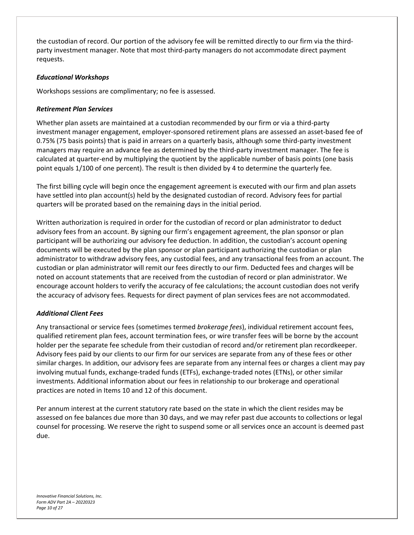the custodian of record. Our portion of the advisory fee will be remitted directly to our firm via the third‐ party investment manager. Note that most third‐party managers do not accommodate direct payment requests.

#### *Educational Workshops*

Workshops sessions are complimentary; no fee is assessed.

# *Retirement Plan Services*

Whether plan assets are maintained at a custodian recommended by our firm or via a third-party investment manager engagement, employer‐sponsored retirement plans are assessed an asset‐based fee of 0.75% (75 basis points) that is paid in arrears on a quarterly basis, although some third-party investment managers may require an advance fee as determined by the third-party investment manager. The fee is calculated at quarter-end by multiplying the quotient by the applicable number of basis points (one basis point equals 1/100 of one percent). The result is then divided by 4 to determine the quarterly fee.

The first billing cycle will begin once the engagement agreement is executed with our firm and plan assets have settled into plan account(s) held by the designated custodian of record. Advisory fees for partial quarters will be prorated based on the remaining days in the initial period.

Written authorization is required in order for the custodian of record or plan administrator to deduct advisory fees from an account. By signing our firm's engagement agreement, the plan sponsor or plan participant will be authorizing our advisory fee deduction. In addition, the custodian's account opening documents will be executed by the plan sponsor or plan participant authorizing the custodian or plan administrator to withdraw advisory fees, any custodial fees, and any transactional fees from an account. The custodian or plan administrator will remit our fees directly to our firm. Deducted fees and charges will be noted on account statements that are received from the custodian of record or plan administrator. We encourage account holders to verify the accuracy of fee calculations; the account custodian does not verify the accuracy of advisory fees. Requests for direct payment of plan services fees are not accommodated.

#### *Additional Client Fees*

Any transactional or service fees (sometimes termed *brokerage fees*), individual retirement account fees, qualified retirement plan fees, account termination fees, or wire transfer fees will be borne by the account holder per the separate fee schedule from their custodian of record and/or retirement plan recordkeeper. Advisory fees paid by our clients to our firm for our services are separate from any of these fees or other similar charges. In addition, our advisory fees are separate from any internal fees or charges a client may pay involving mutual funds, exchange‐traded funds (ETFs), exchange‐traded notes (ETNs), or other similar investments. Additional information about our fees in relationship to our brokerage and operational practices are noted in Items 10 and 12 of this document.

Per annum interest at the current statutory rate based on the state in which the client resides may be assessed on fee balances due more than 30 days, and we may refer past due accounts to collections or legal counsel for processing. We reserve the right to suspend some or all services once an account is deemed past due.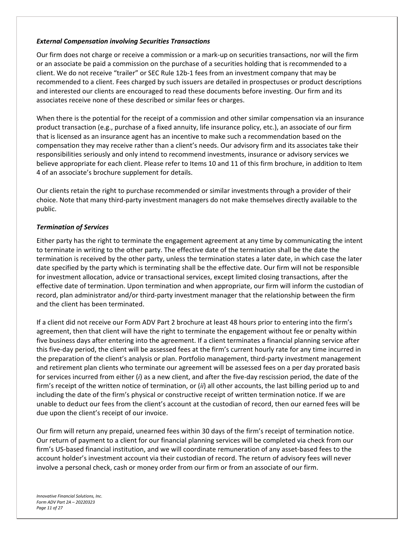#### *External Compensation involving Securities Transactions*

Our firm does not charge or receive a commission or a mark‐up on securities transactions, nor will the firm or an associate be paid a commission on the purchase of a securities holding that is recommended to a client. We do not receive "trailer" or SEC Rule 12b‐1 fees from an investment company that may be recommended to a client. Fees charged by such issuers are detailed in prospectuses or product descriptions and interested our clients are encouraged to read these documents before investing. Our firm and its associates receive none of these described or similar fees or charges.

When there is the potential for the receipt of a commission and other similar compensation via an insurance product transaction (e.g., purchase of a fixed annuity, life insurance policy, etc.), an associate of our firm that is licensed as an insurance agent has an incentive to make such a recommendation based on the compensation they may receive rather than a client's needs. Our advisory firm and its associates take their responsibilities seriously and only intend to recommend investments, insurance or advisory services we believe appropriate for each client. Please refer to Items 10 and 11 of this firm brochure, in addition to Item 4 of an associate's brochure supplement for details.

Our clients retain the right to purchase recommended or similar investments through a provider of their choice. Note that many third‐party investment managers do not make themselves directly available to the public.

#### *Termination of Services*

Either party has the right to terminate the engagement agreement at any time by communicating the intent to terminate in writing to the other party. The effective date of the termination shall be the date the termination is received by the other party, unless the termination states a later date, in which case the later date specified by the party which is terminating shall be the effective date. Our firm will not be responsible for investment allocation, advice or transactional services, except limited closing transactions, after the effective date of termination. Upon termination and when appropriate, our firm will inform the custodian of record, plan administrator and/or third-party investment manager that the relationship between the firm and the client has been terminated.

If a client did not receive our Form ADV Part 2 brochure at least 48 hours prior to entering into the firm's agreement, then that client will have the right to terminate the engagement without fee or penalty within five business days after entering into the agreement. If a client terminates a financial planning service after this five‐day period, the client will be assessed fees at the firm's current hourly rate for any time incurred in the preparation of the client's analysis or plan. Portfolio management, third-party investment management and retirement plan clients who terminate our agreement will be assessed fees on a per day prorated basis for services incurred from either (*i*) as a new client, and after the five‐day rescission period, the date of the firm's receipt of the written notice of termination, or (*ii*) all other accounts, the last billing period up to and including the date of the firm's physical or constructive receipt of written termination notice. If we are unable to deduct our fees from the client's account at the custodian of record, then our earned fees will be due upon the client's receipt of our invoice.

Our firm will return any prepaid, unearned fees within 30 days of the firm's receipt of termination notice. Our return of payment to a client for our financial planning services will be completed via check from our firm's US-based financial institution, and we will coordinate remuneration of any asset-based fees to the account holder's investment account via their custodian of record. The return of advisory fees will never involve a personal check, cash or money order from our firm or from an associate of our firm.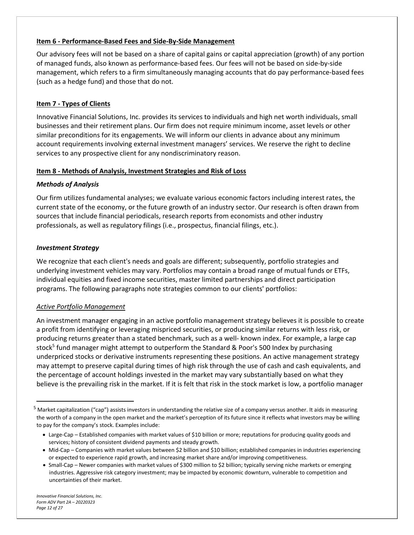# **Item 6 ‐ Performance‐Based Fees and Side‐By‐Side Management**

Our advisory fees will not be based on a share of capital gains or capital appreciation (growth) of any portion of managed funds, also known as performance‐based fees. Our fees will not be based on side‐by‐side management, which refers to a firm simultaneously managing accounts that do pay performance‐based fees (such as a hedge fund) and those that do not.

# **Item 7 ‐ Types of Clients**

Innovative Financial Solutions, Inc. provides its services to individuals and high net worth individuals, small businesses and their retirement plans. Our firm does not require minimum income, asset levels or other similar preconditions for its engagements. We will inform our clients in advance about any minimum account requirements involving external investment managers' services. We reserve the right to decline services to any prospective client for any nondiscriminatory reason.

#### **Item 8 ‐ Methods of Analysis, Investment Strategies and Risk of Loss**

#### *Methods of Analysis*

Our firm utilizes fundamental analyses; we evaluate various economic factors including interest rates, the current state of the economy, or the future growth of an industry sector. Our research is often drawn from sources that include financial periodicals, research reports from economists and other industry professionals, as well as regulatory filings (i.e., prospectus, financial filings, etc.).

#### *Investment Strategy*

We recognize that each client's needs and goals are different; subsequently, portfolio strategies and underlying investment vehicles may vary. Portfolios may contain a broad range of mutual funds or ETFs, individual equities and fixed income securities, master limited partnerships and direct participation programs. The following paragraphs note strategies common to our clients' portfolios:

#### *Active Portfolio Management*

An investment manager engaging in an active portfolio management strategy believes it is possible to create a profit from identifying or leveraging mispriced securities, or producing similar returns with less risk, or producing returns greater than a stated benchmark, such as a well‐ known index. For example, a large cap stock<sup>5</sup> fund manager might attempt to outperform the Standard & Poor's 500 Index by purchasing underpriced stocks or derivative instruments representing these positions. An active management strategy may attempt to preserve capital during times of high risk through the use of cash and cash equivalents, and the percentage of account holdings invested in the market may vary substantially based on what they believe is the prevailing risk in the market. If it is felt that risk in the stock market is low, a portfolio manager

<sup>&</sup>lt;sup>5</sup> Market capitalization ("cap") assists investors in understanding the relative size of a company versus another. It aids in measuring the worth of a company in the open market and the market's perception of its future since it reflects what investors may be willing to pay for the company's stock. Examples include:

<sup>●</sup> Large-Cap – Established companies with market values of \$10 billion or more; reputations for producing quality goods and services; history of consistent dividend payments and steady growth.

<sup>•</sup> Mid-Cap – Companies with market values between \$2 billion and \$10 billion; established companies in industries experiencing or expected to experience rapid growth, and increasing market share and/or improving competitiveness.

<sup>●</sup> Small-Cap – Newer companies with market values of \$300 million to \$2 billion; typically serving niche markets or emerging industries. Aggressive risk category investment; may be impacted by economic downturn, vulnerable to competition and uncertainties of their market.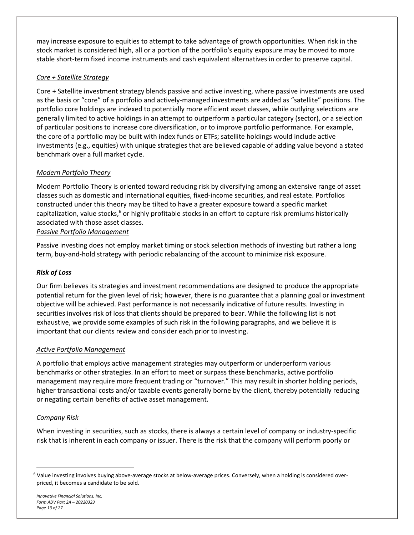may increase exposure to equities to attempt to take advantage of growth opportunities. When risk in the stock market is considered high, all or a portion of the portfolio's equity exposure may be moved to more stable short-term fixed income instruments and cash equivalent alternatives in order to preserve capital.

# *Core + Satellite Strategy*

Core + Satellite investment strategy blends passive and active investing, where passive investments are used as the basis or "core" of a portfolio and actively‐managed investments are added as "satellite" positions. The portfolio core holdings are indexed to potentially more efficient asset classes, while outlying selections are generally limited to active holdings in an attempt to outperform a particular category (sector), or a selection of particular positions to increase core diversification, or to improve portfolio performance. For example, the core of a portfolio may be built with index funds or ETFs; satellite holdings would include active investments (e.g., equities) with unique strategies that are believed capable of adding value beyond a stated benchmark over a full market cycle.

# *Modern Portfolio Theory*

Modern Portfolio Theory is oriented toward reducing risk by diversifying among an extensive range of asset classes such as domestic and international equities, fixed‐income securities, and real estate. Portfolios constructed under this theory may be tilted to have a greater exposure toward a specific market capitalization, value stocks,<sup>6</sup> or highly profitable stocks in an effort to capture risk premiums historically associated with those asset classes.

*Passive Portfolio Management*

Passive investing does not employ market timing or stock selection methods of investing but rather a long term, buy‐and‐hold strategy with periodic rebalancing of the account to minimize risk exposure.

#### *Risk of Loss*

Our firm believes its strategies and investment recommendations are designed to produce the appropriate potential return for the given level of risk; however, there is no guarantee that a planning goal or investment objective will be achieved. Past performance is not necessarily indicative of future results. Investing in securities involves risk of loss that clients should be prepared to bear. While the following list is not exhaustive, we provide some examples of such risk in the following paragraphs, and we believe it is important that our clients review and consider each prior to investing.

#### *Active Portfolio Management*

A portfolio that employs active management strategies may outperform or underperform various benchmarks or other strategies. In an effort to meet or surpass these benchmarks, active portfolio management may require more frequent trading or "turnover." This may result in shorter holding periods, higher transactional costs and/or taxable events generally borne by the client, thereby potentially reducing or negating certain benefits of active asset management.

#### *Company Risk*

When investing in securities, such as stocks, there is always a certain level of company or industry‐specific risk that is inherent in each company or issuer. There is the risk that the company will perform poorly or

<sup>6</sup> Value investing involves buying above-average stocks at below-average prices. Conversely, when a holding is considered overpriced, it becomes a candidate to be sold.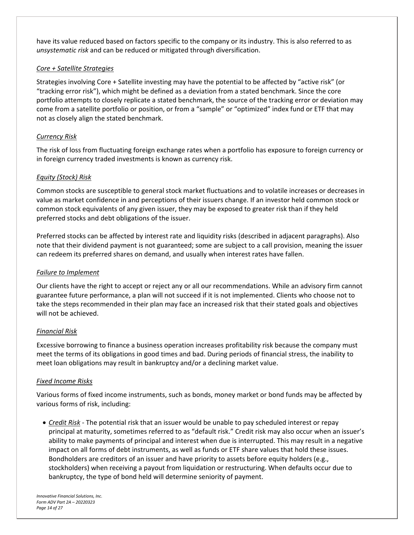have its value reduced based on factors specific to the company or its industry. This is also referred to as *unsystematic risk* and can be reduced or mitigated through diversification.

# *Core + Satellite Strategies*

Strategies involving Core + Satellite investing may have the potential to be affected by "active risk" (or "tracking error risk"), which might be defined as a deviation from a stated benchmark. Since the core portfolio attempts to closely replicate a stated benchmark, the source of the tracking error or deviation may come from a satellite portfolio or position, or from a "sample" or "optimized" index fund or ETF that may not as closely align the stated benchmark.

# *Currency Risk*

The risk of loss from fluctuating foreign exchange rates when a portfolio has exposure to foreign currency or in foreign currency traded investments is known as currency risk.

# *Equity (Stock) Risk*

Common stocks are susceptible to general stock market fluctuations and to volatile increases or decreases in value as market confidence in and perceptions of their issuers change. If an investor held common stock or common stock equivalents of any given issuer, they may be exposed to greater risk than if they held preferred stocks and debt obligations of the issuer.

Preferred stocks can be affected by interest rate and liquidity risks (described in adjacent paragraphs). Also note that their dividend payment is not guaranteed; some are subject to a call provision, meaning the issuer can redeem its preferred shares on demand, and usually when interest rates have fallen.

#### *Failure to Implement*

Our clients have the right to accept or reject any or all our recommendations. While an advisory firm cannot guarantee future performance, a plan will not succeed if it is not implemented. Clients who choose not to take the steps recommended in their plan may face an increased risk that their stated goals and objectives will not be achieved.

#### *Financial Risk*

Excessive borrowing to finance a business operation increases profitability risk because the company must meet the terms of its obligations in good times and bad. During periods of financial stress, the inability to meet loan obligations may result in bankruptcy and/or a declining market value.

#### *Fixed Income Risks*

Various forms of fixed income instruments, such as bonds, money market or bond funds may be affected by various forms of risk, including:

 *Credit Risk* ‐ The potential risk that an issuer would be unable to pay scheduled interest or repay principal at maturity, sometimes referred to as "default risk." Credit risk may also occur when an issuer's ability to make payments of principal and interest when due is interrupted. This may result in a negative impact on all forms of debt instruments, as well as funds or ETF share values that hold these issues. Bondholders are creditors of an issuer and have priority to assets before equity holders (e.g., stockholders) when receiving a payout from liquidation or restructuring. When defaults occur due to bankruptcy, the type of bond held will determine seniority of payment.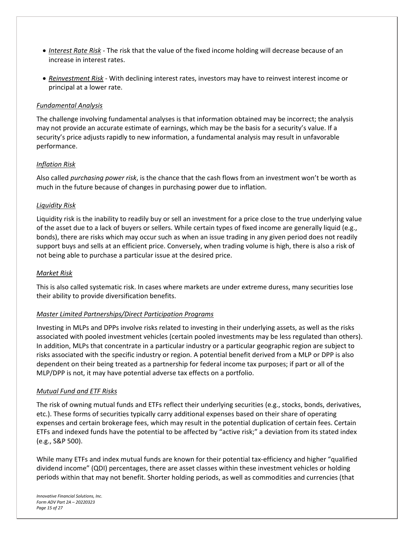- *Interest Rate Risk* ‐ The risk that the value of the fixed income holding will decrease because of an increase in interest rates.
- *Reinvestment Risk* ‐ With declining interest rates, investors may have to reinvest interest income or principal at a lower rate.

#### *Fundamental Analysis*

The challenge involving fundamental analyses is that information obtained may be incorrect; the analysis may not provide an accurate estimate of earnings, which may be the basis for a security's value. If a security's price adjusts rapidly to new information, a fundamental analysis may result in unfavorable performance.

#### *Inflation Risk*

Also called *purchasing power risk*, is the chance that the cash flows from an investment won't be worth as much in the future because of changes in purchasing power due to inflation.

#### *Liquidity Risk*

Liquidity risk is the inability to readily buy or sell an investment for a price close to the true underlying value of the asset due to a lack of buyers or sellers. While certain types of fixed income are generally liquid (e.g., bonds), there are risks which may occur such as when an issue trading in any given period does not readily support buys and sells at an efficient price. Conversely, when trading volume is high, there is also a risk of not being able to purchase a particular issue at the desired price.

#### *Market Risk*

This is also called systematic risk. In cases where markets are under extreme duress, many securities lose their ability to provide diversification benefits.

#### *Master Limited Partnerships/Direct Participation Programs*

Investing in MLPs and DPPs involve risks related to investing in their underlying assets, as well as the risks associated with pooled investment vehicles (certain pooled investments may be less regulated than others). In addition, MLPs that concentrate in a particular industry or a particular geographic region are subject to risks associated with the specific industry or region. A potential benefit derived from a MLP or DPP is also dependent on their being treated as a partnership for federal income tax purposes; if part or all of the MLP/DPP is not, it may have potential adverse tax effects on a portfolio.

#### *Mutual Fund and ETF Risks*

The risk of owning mutual funds and ETFs reflect their underlying securities (e.g., stocks, bonds, derivatives, etc.). These forms of securities typically carry additional expenses based on their share of operating expenses and certain brokerage fees, which may result in the potential duplication of certain fees. Certain ETFs and indexed funds have the potential to be affected by "active risk;" a deviation from its stated index (e.g., S&P 500).

While many ETFs and index mutual funds are known for their potential tax-efficiency and higher "qualified" dividend income" (QDI) percentages, there are asset classes within these investment vehicles or holding periods within that may not benefit. Shorter holding periods, as well as commodities and currencies (that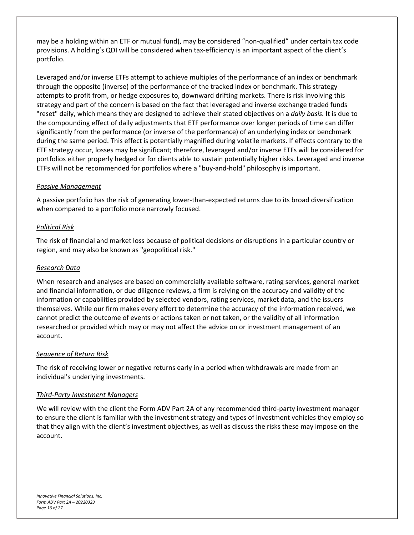may be a holding within an ETF or mutual fund), may be considered "non-qualified" under certain tax code provisions. A holding's QDI will be considered when tax‐efficiency is an important aspect of the client's portfolio.

Leveraged and/or inverse ETFs attempt to achieve multiples of the performance of an index or benchmark through the opposite (inverse) of the performance of the tracked index or benchmark. This strategy attempts to profit from, or hedge exposures to, downward drifting markets. There is risk involving this strategy and part of the concern is based on the fact that leveraged and inverse exchange traded funds "reset" daily, which means they are designed to achieve their stated objectives on a *daily basis.* It is due to the compounding effect of daily adjustments that ETF performance over longer periods of time can differ significantly from the performance (or inverse of the performance) of an underlying index or benchmark during the same period. This effect is potentially magnified during volatile markets. If effects contrary to the ETF strategy occur, losses may be significant; therefore, leveraged and/or inverse ETFs will be considered for portfolios either properly hedged or for clients able to sustain potentially higher risks. Leveraged and inverse ETFs will not be recommended for portfolios where a "buy‐and‐hold" philosophy is important.

# *Passive Management*

A passive portfolio has the risk of generating lower‐than‐expected returns due to its broad diversification when compared to a portfolio more narrowly focused.

# *Political Risk*

The risk of financial and market loss because of political decisions or disruptions in a particular country or region, and may also be known as "geopolitical risk."

#### *Research Data*

When research and analyses are based on commercially available software, rating services, general market and financial information, or due diligence reviews, a firm is relying on the accuracy and validity of the information or capabilities provided by selected vendors, rating services, market data, and the issuers themselves. While our firm makes every effort to determine the accuracy of the information received, we cannot predict the outcome of events or actions taken or not taken, or the validity of all information researched or provided which may or may not affect the advice on or investment management of an account.

#### *Sequence of Return Risk*

The risk of receiving lower or negative returns early in a period when withdrawals are made from an individual's underlying investments.

#### *Third‐Party Investment Managers*

We will review with the client the Form ADV Part 2A of any recommended third-party investment manager to ensure the client is familiar with the investment strategy and types of investment vehicles they employ so that they align with the client's investment objectives, as well as discuss the risks these may impose on the account.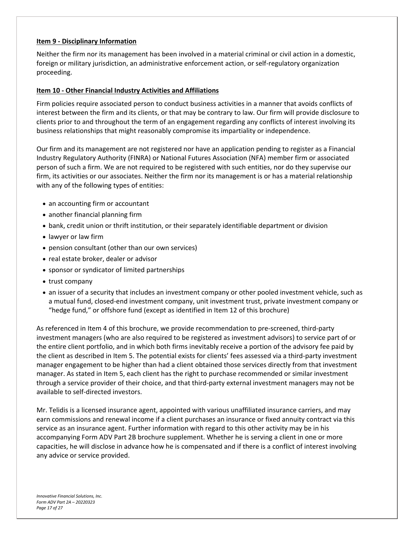#### **Item 9 ‐ Disciplinary Information**

Neither the firm nor its management has been involved in a material criminal or civil action in a domestic, foreign or military jurisdiction, an administrative enforcement action, or self‐regulatory organization proceeding.

#### **Item 10 ‐ Other Financial Industry Activities and Affiliations**

Firm policies require associated person to conduct business activities in a manner that avoids conflicts of interest between the firm and its clients, or that may be contrary to law. Our firm will provide disclosure to clients prior to and throughout the term of an engagement regarding any conflicts of interest involving its business relationships that might reasonably compromise its impartiality or independence.

Our firm and its management are not registered nor have an application pending to register as a Financial Industry Regulatory Authority (FINRA) or National Futures Association (NFA) member firm or associated person of such a firm. We are not required to be registered with such entities, nor do they supervise our firm, its activities or our associates. Neither the firm nor its management is or has a material relationship with any of the following types of entities:

- an accounting firm or accountant
- another financial planning firm
- bank, credit union or thrift institution, or their separately identifiable department or division
- lawyer or law firm
- pension consultant (other than our own services)
- real estate broker, dealer or advisor
- sponsor or syndicator of limited partnerships
- trust company
- an issuer of a security that includes an investment company or other pooled investment vehicle, such as a mutual fund, closed‐end investment company, unit investment trust, private investment company or "hedge fund," or offshore fund (except as identified in Item 12 of this brochure)

As referenced in Item 4 of this brochure, we provide recommendation to pre‐screened, third‐party investment managers (who are also required to be registered as investment advisors) to service part of or the entire client portfolio, and in which both firms inevitably receive a portion of the advisory fee paid by the client as described in Item 5. The potential exists for clients' fees assessed via a third-party investment manager engagement to be higher than had a client obtained those services directly from that investment manager. As stated in Item 5, each client has the right to purchase recommended or similar investment through a service provider of their choice, and that third‐party external investment managers may not be available to self‐directed investors.

Mr. Telidis is a licensed insurance agent, appointed with various unaffiliated insurance carriers, and may earn commissions and renewal income if a client purchases an insurance or fixed annuity contract via this service as an insurance agent. Further information with regard to this other activity may be in his accompanying Form ADV Part 2B brochure supplement. Whether he is serving a client in one or more capacities, he will disclose in advance how he is compensated and if there is a conflict of interest involving any advice or service provided.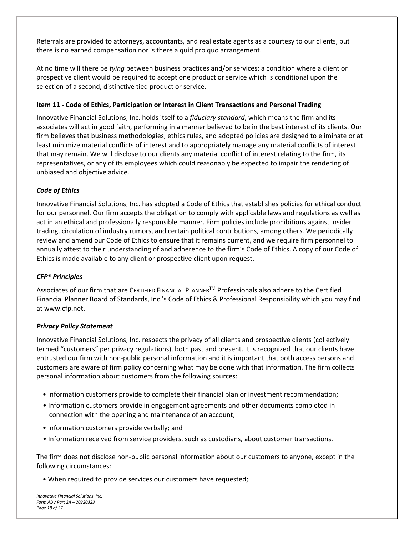Referrals are provided to attorneys, accountants, and real estate agents as a courtesy to our clients, but there is no earned compensation nor is there a quid pro quo arrangement.

At no time will there be *tying* between business practices and/or services; a condition where a client or prospective client would be required to accept one product or service which is conditional upon the selection of a second, distinctive tied product or service.

# **Item 11 ‐ Code of Ethics, Participation or Interest in Client Transactions and Personal Trading**

Innovative Financial Solutions, Inc. holds itself to a *fiduciary standard*, which means the firm and its associates will act in good faith, performing in a manner believed to be in the best interest of its clients. Our firm believes that business methodologies, ethics rules, and adopted policies are designed to eliminate or at least minimize material conflicts of interest and to appropriately manage any material conflicts of interest that may remain. We will disclose to our clients any material conflict of interest relating to the firm, its representatives, or any of its employees which could reasonably be expected to impair the rendering of unbiased and objective advice.

# *Code of Ethics*

Innovative Financial Solutions, Inc. has adopted a Code of Ethics that establishes policies for ethical conduct for our personnel. Our firm accepts the obligation to comply with applicable laws and regulations as well as act in an ethical and professionally responsible manner. Firm policies include prohibitions against insider trading, circulation of industry rumors, and certain political contributions, among others. We periodically review and amend our Code of Ethics to ensure that it remains current, and we require firm personnel to annually attest to their understanding of and adherence to the firm's Code of Ethics. A copy of our Code of Ethics is made available to any client or prospective client upon request.

# *CFP® Principles*

Associates of our firm that are CERTIFIED FINANCIAL PLANNERTM Professionals also adhere to the Certified Financial Planner Board of Standards, Inc.'s Code of Ethics & Professional Responsibility which you may find at www.cfp.net.

#### *Privacy Policy Statement*

Innovative Financial Solutions, Inc. respects the privacy of all clients and prospective clients (collectively termed "customers" per privacy regulations), both past and present. It is recognized that our clients have entrusted our firm with non‐public personal information and it is important that both access persons and customers are aware of firm policy concerning what may be done with that information. The firm collects personal information about customers from the following sources:

- Information customers provide to complete their financial plan or investment recommendation;
- Information customers provide in engagement agreements and other documents completed in connection with the opening and maintenance of an account;
- Information customers provide verbally; and
- Information received from service providers, such as custodians, about customer transactions.

The firm does not disclose non‐public personal information about our customers to anyone, except in the following circumstances:

• When required to provide services our customers have requested;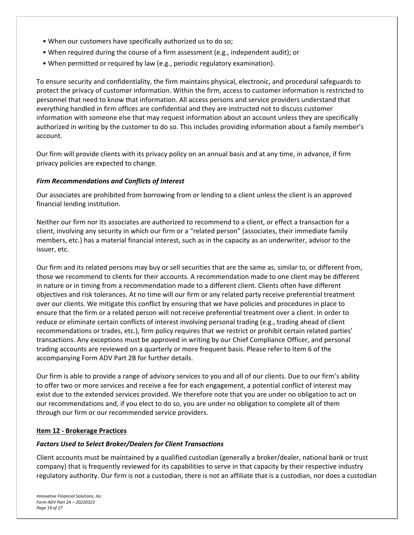- When our customers have specifically authorized us to do so;
- When required during the course of a firm assessment (e.g., independent audit); or
- When permitted or required by law (e.g., periodic regulatory examination).

To ensure security and confidentiality, the firm maintains physical, electronic, and procedural safeguards to protect the privacy of customer information. Within the firm, access to customer information is restricted to personnel that need to know that information. All access persons and service providers understand that everything handled in firm offices are confidential and they are instructed not to discuss customer information with someone else that may request information about an account unless they are specifically authorized in writing by the customer to do so. This includes providing information about a family member's account.

Our firm will provide clients with its privacy policy on an annual basis and at any time, in advance, if firm privacy policies are expected to change.

#### *Firm Recommendations and Conflicts of Interest*

Our associates are prohibited from borrowing from or lending to a client unless the client is an approved financial lending institution.

Neither our firm nor its associates are authorized to recommend to a client, or effect a transaction for a client, involving any security in which our firm or a "related person" (associates, their immediate family members, etc.) has a material financial interest, such as in the capacity as an underwriter, advisor to the issuer, etc.

Our firm and its related persons may buy or sell securities that are the same as, similar to, or different from, those we recommend to clients for their accounts. A recommendation made to one client may be different in nature or in timing from a recommendation made to a different client. Clients often have different objectives and risk tolerances. At no time will our firm or any related party receive preferential treatment over our clients. We mitigate this conflict by ensuring that we have policies and procedures in place to ensure that the firm or a related person will not receive preferential treatment over a client. In order to reduce or eliminate certain conflicts of interest involving personal trading (e.g., trading ahead of client recommendations or trades, etc.), firm policy requires that we restrict or prohibit certain related parties' transactions. Any exceptions must be approved in writing by our Chief Compliance Officer, and personal trading accounts are reviewed on a quarterly or more frequent basis. Please refer to Item 6 of the accompanying Form ADV Part 2B for further details.

Our firm is able to provide a range of advisory services to you and all of our clients. Due to our firm's ability to offer two or more services and receive a fee for each engagement, a potential conflict of interest may exist due to the extended services provided. We therefore note that you are under no obligation to act on our recommendations and, if you elect to do so, you are under no obligation to complete all of them through our firm or our recommended service providers.

#### **Item 12 ‐ Brokerage Practices**

#### *Factors Used to Select Broker/Dealers for Client Transactions*

Client accounts must be maintained by a qualified custodian (generally a broker/dealer, national bank or trust company) that is frequently reviewed for its capabilities to serve in that capacity by their respective industry regulatory authority. Our firm is not a custodian, there is not an affiliate that is a custodian, nor does a custodian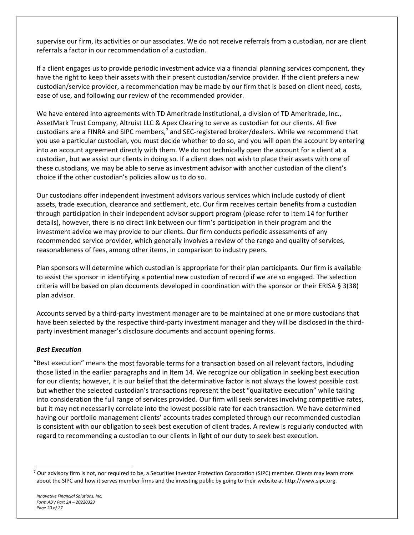supervise our firm, its activities or our associates. We do not receive referrals from a custodian, nor are client referrals a factor in our recommendation of a custodian.

If a client engages us to provide periodic investment advice via a financial planning services component, they have the right to keep their assets with their present custodian/service provider. If the client prefers a new custodian/service provider, a recommendation may be made by our firm that is based on client need, costs, ease of use, and following our review of the recommended provider.

We have entered into agreements with TD Ameritrade Institutional, a division of TD Ameritrade, Inc., AssetMark Trust Company, Altruist LLC & Apex Clearing to serve as custodian for our clients. All five custodians are a FINRA and SIPC members,<sup>7</sup> and SEC-registered broker/dealers. While we recommend that you use a particular custodian, you must decide whether to do so, and you will open the account by entering into an account agreement directly with them. We do not technically open the account for a client at a custodian, but we assist our clients in doing so. If a client does not wish to place their assets with one of these custodians, we may be able to serve as investment advisor with another custodian of the client's choice if the other custodian's policies allow us to do so.

Our custodians offer independent investment advisors various services which include custody of client assets, trade execution, clearance and settlement, etc. Our firm receives certain benefits from a custodian through participation in their independent advisor support program (please refer to Item 14 for further details), however, there is no direct link between our firm's participation in their program and the investment advice we may provide to our clients. Our firm conducts periodic assessments of any recommended service provider, which generally involves a review of the range and quality of services, reasonableness of fees, among other items, in comparison to industry peers.

Plan sponsors will determine which custodian is appropriate for their plan participants. Our firm is available to assist the sponsor in identifying a potential new custodian of record if we are so engaged. The selection criteria will be based on plan documents developed in coordination with the sponsor or their ERISA § 3(38) plan advisor.

Accounts served by a third‐party investment manager are to be maintained at one or more custodians that have been selected by the respective third-party investment manager and they will be disclosed in the thirdparty investment manager's disclosure documents and account opening forms.

# *Best Execution*

"Best execution" means the most favorable terms for a transaction based on all relevant factors, including those listed in the earlier paragraphs and in Item 14. We recognize our obligation in seeking best execution for our clients; however, it is our belief that the determinative factor is not always the lowest possible cost but whether the selected custodian's transactions represent the best "qualitative execution" while taking into consideration the full range of services provided. Our firm will seek services involving competitive rates, but it may not necessarily correlate into the lowest possible rate for each transaction. We have determined having our portfolio management clients' accounts trades completed through our recommended custodian is consistent with our obligation to seek best execution of client trades. A review is regularly conducted with regard to recommending a custodian to our clients in light of our duty to seek best execution.

<sup>&</sup>lt;sup>7</sup> Our advisory firm is not, nor required to be, a Securities Investor Protection Corporation (SIPC) member. Clients may learn more about the SIPC and how it serves member firms and the investing public by going to their website at http://www.sipc.org.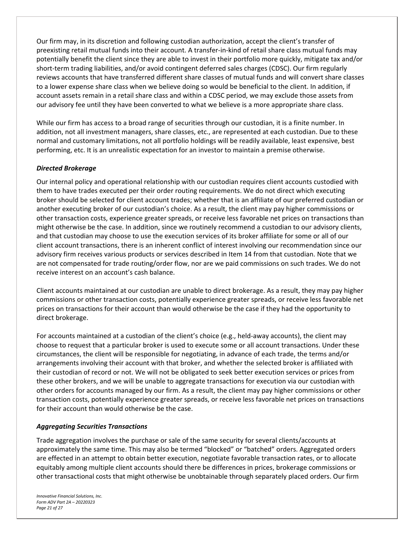Our firm may, in its discretion and following custodian authorization, accept the client's transfer of preexisting retail mutual funds into their account. A transfer‐in‐kind of retail share class mutual funds may potentially benefit the client since they are able to invest in their portfolio more quickly, mitigate tax and/or short-term trading liabilities, and/or avoid contingent deferred sales charges (CDSC). Our firm regularly reviews accounts that have transferred different share classes of mutual funds and will convert share classes to a lower expense share class when we believe doing so would be beneficial to the client. In addition, if account assets remain in a retail share class and within a CDSC period, we may exclude those assets from our advisory fee until they have been converted to what we believe is a more appropriate share class.

While our firm has access to a broad range of securities through our custodian, it is a finite number. In addition, not all investment managers, share classes, etc., are represented at each custodian. Due to these normal and customary limitations, not all portfolio holdings will be readily available, least expensive, best performing, etc. It is an unrealistic expectation for an investor to maintain a premise otherwise.

# *Directed Brokerage*

Our internal policy and operational relationship with our custodian requires client accounts custodied with them to have trades executed per their order routing requirements. We do not direct which executing broker should be selected for client account trades; whether that is an affiliate of our preferred custodian or another executing broker of our custodian's choice. As a result, the client may pay higher commissions or other transaction costs, experience greater spreads, or receive less favorable net prices on transactions than might otherwise be the case. In addition, since we routinely recommend a custodian to our advisory clients, and that custodian may choose to use the execution services of its broker affiliate for some or all of our client account transactions, there is an inherent conflict of interest involving our recommendation since our advisory firm receives various products or services described in Item 14 from that custodian. Note that we are not compensated for trade routing/order flow, nor are we paid commissions on such trades. We do not receive interest on an account's cash balance.

Client accounts maintained at our custodian are unable to direct brokerage. As a result, they may pay higher commissions or other transaction costs, potentially experience greater spreads, or receive less favorable net prices on transactions for their account than would otherwise be the case if they had the opportunity to direct brokerage.

For accounts maintained at a custodian of the client's choice (e.g., held-away accounts), the client may choose to request that a particular broker is used to execute some or all account transactions. Under these circumstances, the client will be responsible for negotiating, in advance of each trade, the terms and/or arrangements involving their account with that broker, and whether the selected broker is affiliated with their custodian of record or not. We will not be obligated to seek better execution services or prices from these other brokers, and we will be unable to aggregate transactions for execution via our custodian with other orders for accounts managed by our firm. As a result, the client may pay higher commissions or other transaction costs, potentially experience greater spreads, or receive less favorable net prices on transactions for their account than would otherwise be the case.

#### *Aggregating Securities Transactions*

Trade aggregation involves the purchase or sale of the same security for several clients/accounts at approximately the same time. This may also be termed "blocked" or "batched" orders. Aggregated orders are effected in an attempt to obtain better execution, negotiate favorable transaction rates, or to allocate equitably among multiple client accounts should there be differences in prices, brokerage commissions or other transactional costs that might otherwise be unobtainable through separately placed orders. Our firm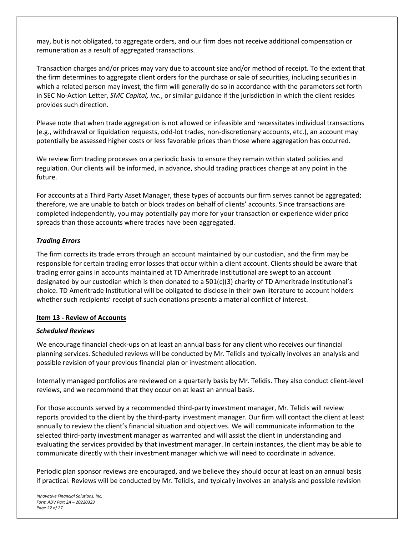may, but is not obligated, to aggregate orders, and our firm does not receive additional compensation or remuneration as a result of aggregated transactions.

Transaction charges and/or prices may vary due to account size and/or method of receipt. To the extent that the firm determines to aggregate client orders for the purchase or sale of securities, including securities in which a related person may invest, the firm will generally do so in accordance with the parameters set forth in SEC No‐Action Letter, *SMC Capital, Inc.*, or similar guidance if the jurisdiction in which the client resides provides such direction.

Please note that when trade aggregation is not allowed or infeasible and necessitates individual transactions (e.g., withdrawal or liquidation requests, odd‐lot trades, non‐discretionary accounts, etc.), an account may potentially be assessed higher costs or less favorable prices than those where aggregation has occurred.

We review firm trading processes on a periodic basis to ensure they remain within stated policies and regulation. Our clients will be informed, in advance, should trading practices change at any point in the future.

For accounts at a Third Party Asset Manager, these types of accounts our firm serves cannot be aggregated; therefore, we are unable to batch or block trades on behalf of clients' accounts. Since transactions are completed independently, you may potentially pay more for your transaction or experience wider price spreads than those accounts where trades have been aggregated.

# *Trading Errors*

The firm corrects its trade errors through an account maintained by our custodian, and the firm may be responsible for certain trading error losses that occur within a client account. Clients should be aware that trading error gains in accounts maintained at TD Ameritrade Institutional are swept to an account designated by our custodian which is then donated to a 501(c)(3) charity of TD Ameritrade Institutional's choice. TD Ameritrade Institutional will be obligated to disclose in their own literature to account holders whether such recipients' receipt of such donations presents a material conflict of interest.

#### **Item 13 ‐ Review of Accounts**

#### *Scheduled Reviews*

We encourage financial check-ups on at least an annual basis for any client who receives our financial planning services. Scheduled reviews will be conducted by Mr. Telidis and typically involves an analysis and possible revision of your previous financial plan or investment allocation.

Internally managed portfolios are reviewed on a quarterly basis by Mr. Telidis. They also conduct client‐level reviews, and we recommend that they occur on at least an annual basis.

For those accounts served by a recommended third‐party investment manager, Mr. Telidis will review reports provided to the client by the third‐party investment manager. Our firm will contact the client at least annually to review the client's financial situation and objectives. We will communicate information to the selected third-party investment manager as warranted and will assist the client in understanding and evaluating the services provided by that investment manager. In certain instances, the client may be able to communicate directly with their investment manager which we will need to coordinate in advance.

Periodic plan sponsor reviews are encouraged, and we believe they should occur at least on an annual basis if practical. Reviews will be conducted by Mr. Telidis, and typically involves an analysis and possible revision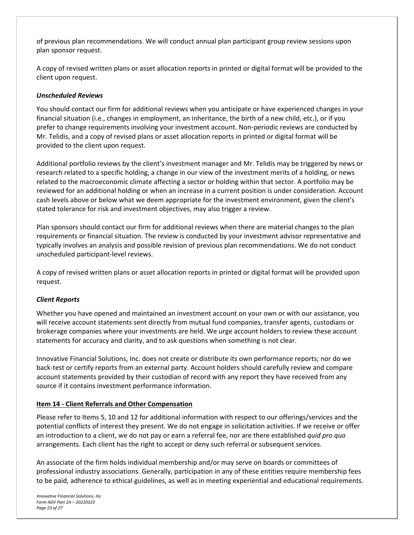of previous plan recommendations. We will conduct annual plan participant group review sessions upon plan sponsor request.

A copy of revised written plans or asset allocation reports in printed or digital format will be provided to the client upon request.

# *Unscheduled Reviews*

You should contact our firm for additional reviews when you anticipate or have experienced changes in your financial situation (i.e., changes in employment, an inheritance, the birth of a new child, etc.), or if you prefer to change requirements involving your investment account. Non‐periodic reviews are conducted by Mr. Telidis, and a copy of revised plans or asset allocation reports in printed or digital format will be provided to the client upon request.

Additional portfolio reviews by the client's investment manager and Mr. Telidis may be triggered by news or research related to a specific holding, a change in our view of the investment merits of a holding, or news related to the macroeconomic climate affecting a sector or holding within that sector. A portfolio may be reviewed for an additional holding or when an increase in a current position is under consideration. Account cash levels above or below what we deem appropriate for the investment environment, given the client's stated tolerance for risk and investment objectives, may also trigger a review.

Plan sponsors should contact our firm for additional reviews when there are material changes to the plan requirements or financial situation. The review is conducted by your investment advisor representative and typically involves an analysis and possible revision of previous plan recommendations. We do not conduct unscheduled participant‐level reviews.

A copy of revised written plans or asset allocation reports in printed or digital format will be provided upon request.

#### *Client Reports*

Whether you have opened and maintained an investment account on your own or with our assistance, you will receive account statements sent directly from mutual fund companies, transfer agents, custodians or brokerage companies where your investments are held. We urge account holders to review these account statements for accuracy and clarity, and to ask questions when something is not clear.

Innovative Financial Solutions, Inc. does not create or distribute its own performance reports; nor do we back‐test or certify reports from an external party. Account holders should carefully review and compare account statements provided by their custodian of record with any report they have received from any source if it contains investment performance information.

#### **Item 14 ‐ Client Referrals and Other Compensation**

Please refer to Items 5, 10 and 12 for additional information with respect to our offerings/services and the potential conflicts of interest they present. We do not engage in solicitation activities. If we receive or offer an introduction to a client, we do not pay or earn a referral fee, nor are there established *quid pro quo* arrangements. Each client has the right to accept or deny such referral or subsequent services.

An associate of the firm holds individual membership and/or may serve on boards or committees of professional industry associations. Generally, participation in any of these entities require membership fees to be paid, adherence to ethical guidelines, as well as in meeting experiential and educational requirements.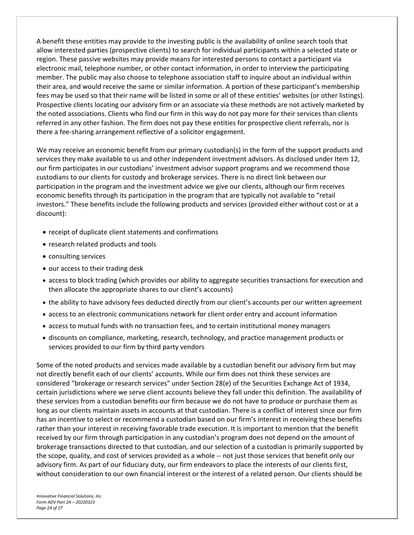A benefit these entities may provide to the investing public is the availability of online search tools that allow interested parties (prospective clients) to search for individual participants within a selected state or region. These passive websites may provide means for interested persons to contact a participant via electronic mail, telephone number, or other contact information, in order to interview the participating member. The public may also choose to telephone association staff to inquire about an individual within their area, and would receive the same or similar information. A portion of these participant's membership fees may be used so that their name will be listed in some or all of these entities' websites (or other listings). Prospective clients locating our advisory firm or an associate via these methods are not actively marketed by the noted associations. Clients who find our firm in this way do not pay more for their services than clients referred in any other fashion. The firm does not pay these entities for prospective client referrals, nor is there a fee‐sharing arrangement reflective of a solicitor engagement.

We may receive an economic benefit from our primary custodian(s) in the form of the support products and services they make available to us and other independent investment advisors. As disclosed under Item 12, our firm participates in our custodians' investment advisor support programs and we recommend those custodians to our clients for custody and brokerage services. There is no direct link between our participation in the program and the investment advice we give our clients, although our firm receives economic benefits through its participation in the program that are typically not available to "retail investors." These benefits include the following products and services (provided either without cost or at a discount):

- receipt of duplicate client statements and confirmations
- research related products and tools
- consulting services
- our access to their trading desk
- access to block trading (which provides our ability to aggregate securities transactions for execution and then allocate the appropriate shares to our client's accounts)
- the ability to have advisory fees deducted directly from our client's accounts per our written agreement
- access to an electronic communications network for client order entry and account information
- access to mutual funds with no transaction fees, and to certain institutional money managers
- discounts on compliance, marketing, research, technology, and practice management products or services provided to our firm by third party vendors

Some of the noted products and services made available by a custodian benefit our advisory firm but may not directly benefit each of our clients' accounts. While our firm does not think these services are considered "brokerage or research services" under Section 28(e) of the Securities Exchange Act of 1934, certain jurisdictions where we serve client accounts believe they fall under this definition. The availability of these services from a custodian benefits our firm because we do not have to produce or purchase them as long as our clients maintain assets in accounts at that custodian. There is a conflict of interest since our firm has an incentive to select or recommend a custodian based on our firm's interest in receiving these benefits rather than your interest in receiving favorable trade execution. It is important to mention that the benefit received by our firm through participation in any custodian's program does not depend on the amount of brokerage transactions directed to that custodian, and our selection of a custodian is primarily supported by the scope, quality, and cost of services provided as a whole ‐‐ not just those services that benefit only our advisory firm. As part of our fiduciary duty, our firm endeavors to place the interests of our clients first, without consideration to our own financial interest or the interest of a related person. Our clients should be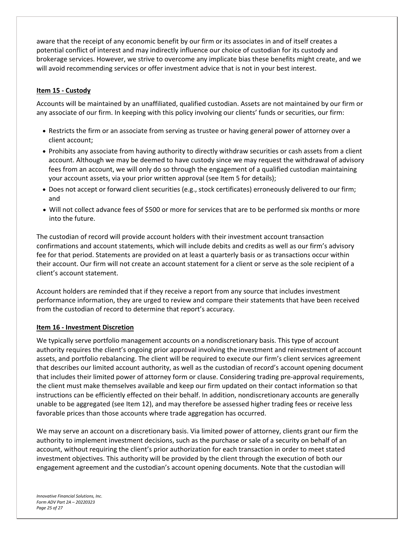aware that the receipt of any economic benefit by our firm or its associates in and of itself creates a potential conflict of interest and may indirectly influence our choice of custodian for its custody and brokerage services. However, we strive to overcome any implicate bias these benefits might create, and we will avoid recommending services or offer investment advice that is not in your best interest.

# **Item 15 ‐ Custody**

Accounts will be maintained by an unaffiliated, qualified custodian. Assets are not maintained by our firm or any associate of our firm. In keeping with this policy involving our clients' funds or securities, our firm:

- Restricts the firm or an associate from serving as trustee or having general power of attorney over a client account;
- Prohibits any associate from having authority to directly withdraw securities or cash assets from a client account. Although we may be deemed to have custody since we may request the withdrawal of advisory fees from an account, we will only do so through the engagement of a qualified custodian maintaining your account assets, via your prior written approval (see Item 5 for details);
- Does not accept or forward client securities (e.g., stock certificates) erroneously delivered to our firm; and
- Will not collect advance fees of \$500 or more for services that are to be performed six months or more into the future.

The custodian of record will provide account holders with their investment account transaction confirmations and account statements, which will include debits and credits as well as our firm's advisory fee for that period. Statements are provided on at least a quarterly basis or as transactions occur within their account. Our firm will not create an account statement for a client or serve as the sole recipient of a client's account statement.

Account holders are reminded that if they receive a report from any source that includes investment performance information, they are urged to review and compare their statements that have been received from the custodian of record to determine that report's accuracy.

#### **Item 16 ‐ Investment Discretion**

We typically serve portfolio management accounts on a nondiscretionary basis. This type of account authority requires the client's ongoing prior approval involving the investment and reinvestment of account assets, and portfolio rebalancing. The client will be required to execute our firm's client services agreement that describes our limited account authority, as well as the custodian of record's account opening document that includes their limited power of attorney form or clause. Considering trading pre‐approval requirements, the client must make themselves available and keep our firm updated on their contact information so that instructions can be efficiently effected on their behalf. In addition, nondiscretionary accounts are generally unable to be aggregated (see Item 12), and may therefore be assessed higher trading fees or receive less favorable prices than those accounts where trade aggregation has occurred.

We may serve an account on a discretionary basis. Via limited power of attorney, clients grant our firm the authority to implement investment decisions, such as the purchase or sale of a security on behalf of an account, without requiring the client's prior authorization for each transaction in order to meet stated investment objectives. This authority will be provided by the client through the execution of both our engagement agreement and the custodian's account opening documents. Note that the custodian will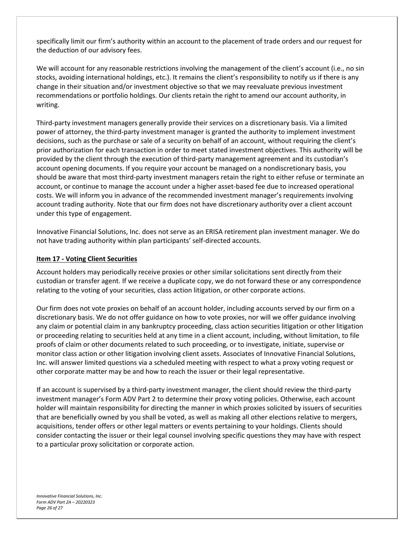specifically limit our firm's authority within an account to the placement of trade orders and our request for the deduction of our advisory fees.

We will account for any reasonable restrictions involving the management of the client's account (i.e., no sin stocks, avoiding international holdings, etc.). It remains the client's responsibility to notify us if there is any change in their situation and/or investment objective so that we may reevaluate previous investment recommendations or portfolio holdings. Our clients retain the right to amend our account authority, in writing.

Third‐party investment managers generally provide their services on a discretionary basis. Via a limited power of attorney, the third‐party investment manager is granted the authority to implement investment decisions, such as the purchase or sale of a security on behalf of an account, without requiring the client's prior authorization for each transaction in order to meet stated investment objectives. This authority will be provided by the client through the execution of third-party management agreement and its custodian's account opening documents. If you require your account be managed on a nondiscretionary basis, you should be aware that most third-party investment managers retain the right to either refuse or terminate an account, or continue to manage the account under a higher asset‐based fee due to increased operational costs. We will inform you in advance of the recommended investment manager's requirements involving account trading authority. Note that our firm does not have discretionary authority over a client account under this type of engagement.

Innovative Financial Solutions, Inc. does not serve as an ERISA retirement plan investment manager. We do not have trading authority within plan participants' self-directed accounts.

#### **Item 17 ‐ Voting Client Securities**

Account holders may periodically receive proxies or other similar solicitations sent directly from their custodian or transfer agent. If we receive a duplicate copy, we do not forward these or any correspondence relating to the voting of your securities, class action litigation, or other corporate actions.

Our firm does not vote proxies on behalf of an account holder, including accounts served by our firm on a discretionary basis. We do not offer guidance on how to vote proxies, nor will we offer guidance involving any claim or potential claim in any bankruptcy proceeding, class action securities litigation or other litigation or proceeding relating to securities held at any time in a client account, including, without limitation, to file proofs of claim or other documents related to such proceeding, or to investigate, initiate, supervise or monitor class action or other litigation involving client assets. Associates of Innovative Financial Solutions, Inc. will answer limited questions via a scheduled meeting with respect to what a proxy voting request or other corporate matter may be and how to reach the issuer or their legal representative.

If an account is supervised by a third‐party investment manager, the client should review the third‐party investment manager's Form ADV Part 2 to determine their proxy voting policies. Otherwise, each account holder will maintain responsibility for directing the manner in which proxies solicited by issuers of securities that are beneficially owned by you shall be voted, as well as making all other elections relative to mergers, acquisitions, tender offers or other legal matters or events pertaining to your holdings. Clients should consider contacting the issuer or their legal counsel involving specific questions they may have with respect to a particular proxy solicitation or corporate action.